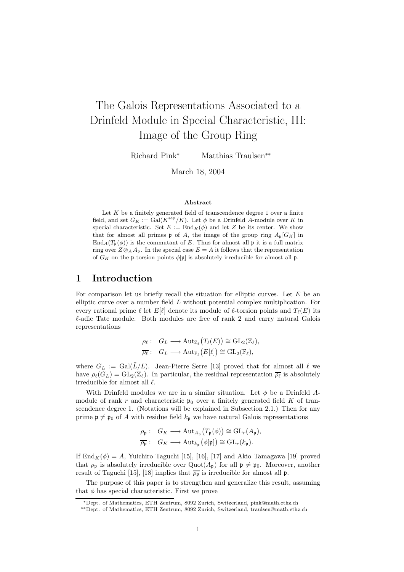# The Galois Representations Associated to a Drinfeld Module in Special Characteristic, III: Image of the Group Ring

Richard Pink<sup>∗</sup> Matthias Traulsen∗∗

March 18, 2004

#### Abstract

Let  $K$  be a finitely generated field of transcendence degree  $1$  over a finite field, and set  $G_K := \text{Gal}(K^{\text{sep}}/K)$ . Let  $\phi$  be a Drinfeld A-module over K in special characteristic. Set  $E := \text{End}_K(\phi)$  and let Z be its center. We show that for almost all primes **p** of A, the image of the group ring  $A_p[G_K]$  in  $\text{End}_{A}(T_{\mathfrak{p}}(\phi))$  is the commutant of E. Thus for almost all p it is a full matrix ring over  $Z \otimes_A A_p$ . In the special case  $E = A$  it follows that the representation of  $G_K$  on the p-torsion points  $\phi[\mathfrak{p}]$  is absolutely irreducible for almost all p.

# 1 Introduction

For comparison let us briefly recall the situation for elliptic curves. Let  $E$  be an elliptic curve over a number field L without potential complex multiplication. For every rational prime  $\ell$  let  $E[\ell]$  denote its module of  $\ell$ -torsion points and  $T_{\ell}(E)$  its  $\ell$ -adic Tate module. Both modules are free of rank 2 and carry natural Galois representations

$$
\rho_{\ell}: G_L \longrightarrow \text{Aut}_{\mathbb{Z}_{\ell}}(T_{\ell}(E)) \cong \text{GL}_2(\mathbb{Z}_{\ell}),
$$
  

$$
\overline{\rho_{\ell}}: G_L \longrightarrow \text{Aut}_{\mathbb{F}_{\ell}}(E[\ell]) \cong \text{GL}_2(\mathbb{F}_{\ell}),
$$

where  $G_L := \text{Gal}(L/L)$ . Jean-Pierre Serre [13] proved that for almost all  $\ell$  we have  $\rho_{\ell}(G_L) = GL_2(\mathbb{Z}_{\ell}).$  In particular, the residual representation  $\overline{\rho_{\ell}}$  is absolutely irreducible for almost all  $\ell$ .

With Drinfeld modules we are in a similar situation. Let  $\phi$  be a Drinfeld Amodule of rank r and characteristic  $p_0$  over a finitely generated field K of transcendence degree 1. (Notations will be explained in Subsection 2.1.) Then for any prime  $\mathfrak{p} \neq \mathfrak{p}_0$  of A with residue field  $k_{\mathfrak{p}}$  we have natural Galois representations

$$
\rho_{\mathfrak{p}}: G_K \longrightarrow \text{Aut}_{A_{\mathfrak{p}}}(T_{\mathfrak{p}}(\phi)) \cong \text{GL}_r(A_{\mathfrak{p}}),
$$
  

$$
\overline{\rho_{\mathfrak{p}}}:\ G_K \longrightarrow \text{Aut}_{k_{\mathfrak{p}}}(\phi[\mathfrak{p}]) \cong \text{GL}_r(k_{\mathfrak{p}}).
$$

If  $\text{End}_K(\phi) = A$ , Yuichiro Taguchi [15], [16], [17] and Akio Tamagawa [19] proved that  $\rho_{\mathfrak{p}}$  is absolutely irreducible over  $Quot(A_{\mathfrak{p}})$  for all  $\mathfrak{p} \neq \mathfrak{p}_0$ . Moreover, another result of Taguchi [15], [18] implies that  $\overline{\rho_{p}}$  is irreducible for almost all p.

The purpose of this paper is to strengthen and generalize this result, assuming that  $\phi$  has special characteristic. First we prove

<sup>∗</sup>Dept. of Mathematics, ETH Zentrum, 8092 Zurich, Switzerland, pink@math.ethz.ch

<sup>∗∗</sup>Dept. of Mathematics, ETH Zentrum, 8092 Zurich, Switzerland, traulsen@math.ethz.ch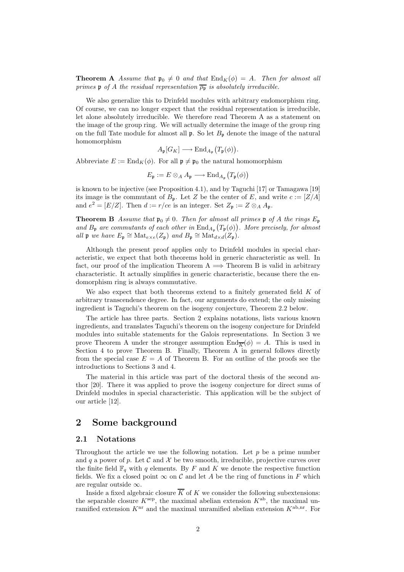**Theorem A** Assume that  $\mathfrak{p}_0 \neq 0$  and that  $\text{End}_K(\phi) = A$ . Then for almost all primes p of A the residual representation  $\overline{\rho_{\mathfrak{p}}}$  is absolutely irreducible.

We also generalize this to Drinfeld modules with arbitrary endomorphism ring. Of course, we can no longer expect that the residual representation is irreducible, let alone absolutely irreducible. We therefore read Theorem A as a statement on the image of the group ring. We will actually determine the image of the group ring on the full Tate module for almost all  $\mathfrak p$ . So let  $B_{\mathfrak p}$  denote the image of the natural homomorphism

 $A_{\mathfrak{p}}[G_K] \longrightarrow \text{End}_{A_{\mathfrak{p}}}\big(T_{\mathfrak{p}}(\phi)\big).$ 

Abbreviate  $E := \text{End}_K(\phi)$ . For all  $\mathfrak{p} \neq \mathfrak{p}_0$  the natural homomorphism

 $E_{\mathfrak{p}} := E \otimes_A A_{\mathfrak{p}} \longrightarrow \text{End}_{A_{\mathfrak{p}}}(T_{\mathfrak{p}}(\phi))$ 

is known to be injective (see Proposition 4.1), and by Taguchi [17] or Tamagawa [19] its image is the commutant of  $B_p$ . Let Z be the center of E, and write  $c := [Z/A]$ and  $e^2 = [E/Z]$ . Then  $d := r/ce$  is an integer. Set  $Z_p := Z \otimes_A A_p$ .

**Theorem B** Assume that  $\mathfrak{p}_0 \neq 0$ . Then for almost all primes  $\mathfrak{p}$  of A the rings  $E_{\mathfrak{p}}$ and  $B_{\mathfrak{p}}$  are commutants of each other in  $\text{End}_{A_{\mathfrak{p}}}(T_{\mathfrak{p}}(\phi))$ . More precisely, for almost all  $\mathfrak{p}$  we have  $E_{\mathfrak{p}} \cong \text{Mat}_{e \times e}(Z_{\mathfrak{p}})$  and  $B_{\mathfrak{p}} \cong \text{Mat}_{d \times d}(Z_{\mathfrak{p}})$ .

Although the present proof applies only to Drinfeld modules in special characteristic, we expect that both theorems hold in generic characteristic as well. In fact, our proof of the implication Theorem A  $\implies$  Theorem B is valid in arbitrary characteristic. It actually simplifies in generic characteristic, because there the endomorphism ring is always commutative.

We also expect that both theorems extend to a finitely generated field  $K$  of arbitrary transcendence degree. In fact, our arguments do extend; the only missing ingredient is Taguchi's theorem on the isogeny conjecture, Theorem 2.2 below.

The article has three parts. Section 2 explains notations, lists various known ingredients, and translates Taguchi's theorem on the isogeny conjecture for Drinfeld modules into suitable statements for the Galois representations. In Section 3 we prove Theorem A under the stronger assumption  $\text{End}_{\overline{K}}(\phi) = A$ . This is used in Section 4 to prove Theorem B. Finally, Theorem A in general follows directly from the special case  $E = A$  of Theorem B. For an outline of the proofs see the introductions to Sections 3 and 4.

The material in this article was part of the doctoral thesis of the second author [20]. There it was applied to prove the isogeny conjecture for direct sums of Drinfeld modules in special characteristic. This application will be the subject of our article [12].

# 2 Some background

#### 2.1 Notations

Throughout the article we use the following notation. Let  $p$  be a prime number and q a power of p. Let  $\mathcal C$  and  $\mathcal X$  be two smooth, irreducible, projective curves over the finite field  $\mathbb{F}_q$  with q elements. By F and K we denote the respective function fields. We fix a closed point  $\infty$  on C and let A be the ring of functions in F which are regular outside ∞.

Inside a fixed algebraic closure  $\overline{K}$  of K we consider the following subextensions: the separable closure  $K^{\text{sep}}$ , the maximal abelian extension  $K^{\text{ab}}$ , the maximal unramified extension  $K<sup>nr</sup>$  and the maximal unramified abelian extension  $K<sup>ab,nr</sup>$ . For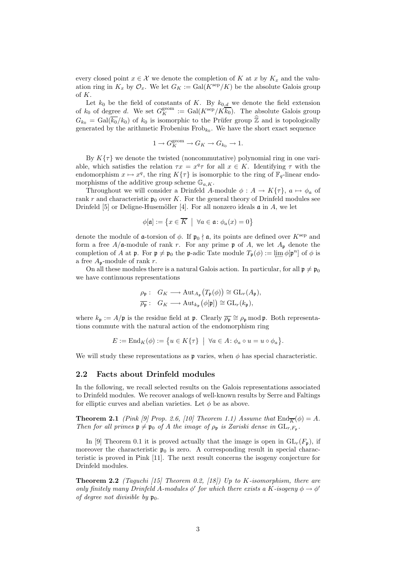every closed point  $x \in \mathcal{X}$  we denote the completion of K at x by  $K_x$  and the valuation ring in  $K_x$  by  $\mathcal{O}_x$ . We let  $G_K := \text{Gal}(K^{\text{sep}}/K)$  be the absolute Galois group of K.

Let  $k_0$  be the field of constants of K. By  $k_{0,d}$  we denote the field extension of  $k_0$  of degree d. We set  $G_K^{\text{geom}} := \text{Gal}(K^{\text{sep}}/K\overline{k_0})$ . The absolute Galois group  $G_{k_0} = \text{Gal}(\overline{k_0}/k_0)$  of  $k_0$  is isomorphic to the Prüfer group  $\hat{\mathbb{Z}}$  and is topologically generated by the arithmetic Frobenius  $Frob_{k_0}$ . We have the short exact sequence

$$
1 \to G_K^{\text{geom}} \to G_K \to G_{k_0} \to 1.
$$

By  $K\{\tau\}$  we denote the twisted (noncommutative) polynomial ring in one variable, which satisfies the relation  $\tau x = x^q \tau$  for all  $x \in K$ . Identifying  $\tau$  with the endomorphism  $x \mapsto x^q$ , the ring  $K\{\tau\}$  is isomorphic to the ring of  $\mathbb{F}_q$ -linear endomorphisms of the additive group scheme  $\mathbb{G}_{a,K}$ .

Throughout we will consider a Drinfeld A-module  $\phi: A \to K\{\tau\}, a \mapsto \phi_a$  of rank r and characteristic  $p_0$  over K. For the general theory of Drinfeld modules see Drinfeld [5] or Deligne-Husemöller [4]. For all nonzero ideals  $\mathfrak a$  in A, we let

$$
\phi[\mathfrak{a}]:=\left\{x\in\overline{K} \ \big|\ \forall a\in\mathfrak{a}\colon \phi_a(x)=0\right\}
$$

denote the module of **a**-torsion of  $\phi$ . If  $\mathfrak{p}_0 \nmid \mathfrak{a}$ , its points are defined over  $K^{\text{sep}}$  and form a free  $A/\mathfrak{a}$ -module of rank r. For any prime  $\mathfrak{p}$  of A, we let  $A_{\mathfrak{p}}$  denote the completion of A at p. For  $\mathfrak{p} \neq \mathfrak{p}_0$  the p-adic Tate module  $T_{\mathfrak{p}}(\phi) := \lim_{\epsilon \to 0} \phi[\mathfrak{p}^n]$  of  $\phi$  is a free  $A_p$ -module of rank r.

On all these modules there is a natural Galois action. In particular, for all  $\mathfrak{p} \neq \mathfrak{p}_0$ we have continuous representations

$$
\rho_{\mathfrak{p}}: G_K \longrightarrow \text{Aut}_{A_{\mathfrak{p}}}(T_{\mathfrak{p}}(\phi)) \cong \text{GL}_r(A_{\mathfrak{p}}),
$$
  

$$
\overline{\rho_{\mathfrak{p}}}: G_K \longrightarrow \text{Aut}_{k_{\mathfrak{p}}}(\phi[\mathfrak{p}]) \cong \text{GL}_r(k_{\mathfrak{p}}),
$$

where  $k_{\mathfrak{p}} := A/\mathfrak{p}$  is the residue field at  $\mathfrak{p}$ . Clearly  $\overline{\rho_{\mathfrak{p}}} \cong \rho_{\mathfrak{p}}$  mod  $\mathfrak{p}$ . Both representations commute with the natural action of the endomorphism ring

$$
E := \mathrm{End}_K(\phi) := \{ u \in K\{\tau\} \mid \forall a \in A : \phi_a \circ u = u \circ \phi_a \}.
$$

We will study these representations as  $\mathfrak p$  varies, when  $\phi$  has special characteristic.

#### 2.2 Facts about Drinfeld modules

In the following, we recall selected results on the Galois representations associated to Drinfeld modules. We recover analogs of well-known results by Serre and Faltings for elliptic curves and abelian varieties. Let  $\phi$  be as above.

**Theorem 2.1** (Pink [9] Prop. 2.6, [10] Theorem 1.1) Assume that  $\text{End}_{\overline{K}}(\phi) = A$ . Then for all primes  $\mathfrak{p} \neq \mathfrak{p}_0$  of A the image of  $\rho_{\mathfrak{p}}$  is Zariski dense in  $\mathrm{GL}_{r,F_{\mathfrak{p}}}$ .

In [9] Theorem 0.1 it is proved actually that the image is open in  $GL_r(F_p)$ , if moreover the characteristic  $\mathfrak{p}_0$  is zero. A corresponding result in special characteristic is proved in Pink [11]. The next result concerns the isogeny conjecture for Drinfeld modules.

**Theorem 2.2** (Taguchi [15] Theorem 0.2, [18]) Up to K-isomorphism, there are only finitely many Drinfeld A-modules  $\phi'$  for which there exists a K-isogeny  $\phi \to \phi'$ of degree not divisible by  $\mathfrak{p}_0$ .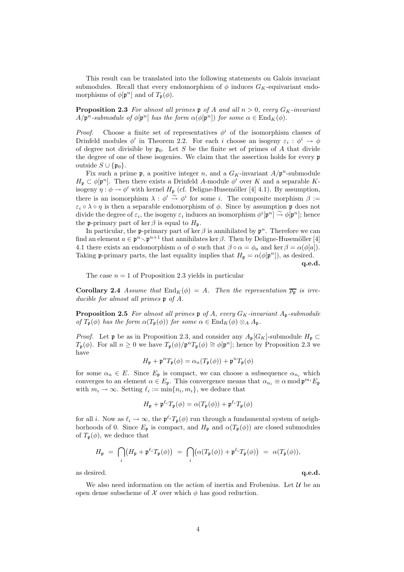This result can be translated into the following statements on Galois invariant submodules. Recall that every endomorphism of  $\phi$  induces  $G_K$ -equivariant endomorphisms of  $\phi[\mathfrak{p}^n]$  and of  $T_{\mathfrak{p}}(\phi)$ .

**Proposition 2.3** For almost all primes p of A and all  $n > 0$ , every  $G_K$ -invariant  $A/\mathfrak{p}^n$ -submodule of  $\phi[\mathfrak{p}^n]$  has the form  $\alpha(\phi[\mathfrak{p}^n])$  for some  $\alpha \in \text{End}_K(\phi)$ .

*Proof.* Choose a finite set of representatives  $\phi^i$  of the isomorphism classes of Drinfeld modules  $\phi'$  in Theorem 2.2. For each *i* choose an isogeny  $\varepsilon_i : \phi^i \to \phi$ of degree not divisible by  $p_0$ . Let S be the finite set of primes of A that divide the degree of one of these isogenies. We claim that the assertion holds for every p outside  $S \cup \{\mathfrak{p}_0\}.$ 

Fix such a prime  $\mathfrak{p}$ , a positive integer n, and a  $G_K$ -invariant  $A/\mathfrak{p}^n$ -submodule  $H_{\mathfrak{p}} \subset \phi[\mathfrak{p}^n]$ . Then there exists a Drinfeld A-module  $\phi'$  over K and a separable Kisogeny  $\eta : \phi \to \phi'$  with kernel  $H_{\mathfrak{p}}$  (cf. Deligne-Husemöller [4] 4.1). By assumption, there is an isomorphism  $\lambda : \phi' \stackrel{\sim}{\to} \phi^i$  for some *i*. The composite morphism  $\beta :=$  $\varepsilon_i \circ \lambda \circ \eta$  is then a separable endomorphism of  $\phi$ . Since by assumption p does not divide the degree of  $\varepsilon_i$ , the isogeny  $\varepsilon_i$  induces an isomorphism  $\phi^i[\mathfrak{p}^n] \overset{\sim}{\to} \phi[\mathfrak{p}^n]$ ; hence the p-primary part of ker  $\beta$  is equal to  $H_p$ .

In particular, the p-primary part of ker  $\beta$  is annihilated by  $p^n$ . Therefore we can find an element  $a \in \mathfrak{p}^n \setminus \mathfrak{p}^{n+1}$  that annihilates ker  $\beta$ . Then by Deligne-Husemöller [4] 4.1 there exists an endomorphism  $\alpha$  of  $\phi$  such that  $\beta \circ \alpha = \phi_a$  and ker  $\beta = \alpha(\phi[a])$ . Taking p-primary parts, the last equality implies that  $H_{\mathfrak{p}} = \alpha(\phi[\mathfrak{p}^n])$ , as desired.

q.e.d.

The case  $n = 1$  of Proposition 2.3 yields in particular

**Corollary 2.4** Assume that  $\text{End}_K(\phi) = A$ . Then the representation  $\overline{\rho_{\mathfrak{p}}}$  is irreducible for almost all primes p of A.

**Proposition 2.5** For almost all primes  $\mathfrak{p}$  of A, every  $G_K$ -invariant  $A_{\mathfrak{p}}$ -submodule of  $T_{\mathfrak{p}}(\phi)$  has the form  $\alpha(T_{\mathfrak{p}}(\phi))$  for some  $\alpha \in \text{End}_K(\phi) \otimes_A A_{\mathfrak{p}}$ .

*Proof.* Let **p** be as in Proposition 2.3, and consider any  $A_p[G_K]$ -submodule  $H_p \subset$  $T_{\mathfrak{p}}(\phi)$ . For all  $n \geq 0$  we have  $T_{\mathfrak{p}}(\phi)/\mathfrak{p}^n$ ,  $T_{\mathfrak{p}}(\phi) \cong \phi[\mathfrak{p}^n]$ ; hence by Proposition 2.3 we have

$$
H_{\mathfrak{p}} + \mathfrak{p}^n T_{\mathfrak{p}}(\phi) = \alpha_n(T_{\mathfrak{p}}(\phi)) + \mathfrak{p}^n T_{\mathfrak{p}}(\phi)
$$

for some  $\alpha_n \in E$ . Since  $E_p$  is compact, we can choose a subsequence  $\alpha_{n_i}$  which converges to an element  $\alpha \in E_{\mathfrak{p}}$ . This convergence means that  $\alpha_{n_i} \equiv \alpha \mod \mathfrak{p}^{m_i} E_{\mathfrak{p}}$ with  $m_i \to \infty$ . Setting  $\ell_i := \min\{n_i, m_i\}$ , we deduce that

$$
H_{\mathfrak{p}} + \mathfrak{p}^{\ell_i} T_{\mathfrak{p}}(\phi) = \alpha(T_{\mathfrak{p}}(\phi)) + \mathfrak{p}^{\ell_i} T_{\mathfrak{p}}(\phi)
$$

for all *i*. Now as  $\ell_i \to \infty$ , the  $\mathfrak{p}^{\ell_i}T_{\mathfrak{p}}(\phi)$  run through a fundamental system of neighborhoods of 0. Since  $E_{\mathfrak{p}}$  is compact, and  $H_{\mathfrak{p}}$  and  $\alpha(T_{\mathfrak{p}}(\phi))$  are closed submodules of  $T_p(\phi)$ , we deduce that

$$
H_{\mathfrak{p}} = \bigcap_{i} \bigl( H_{\mathfrak{p}} + \mathfrak{p}^{\ell_i} T_{\mathfrak{p}}(\phi) \bigr) = \bigcap_{i} \bigl( \alpha(T_{\mathfrak{p}}(\phi)) + \mathfrak{p}^{\ell_i} T_{\mathfrak{p}}(\phi) \bigr) = \alpha(T_{\mathfrak{p}}(\phi)),
$$

as desired.  $q.e.d.$ 

We also need information on the action of inertia and Frobenius. Let  $\mathcal U$  be an open dense subscheme of  $\mathcal X$  over which  $\phi$  has good reduction.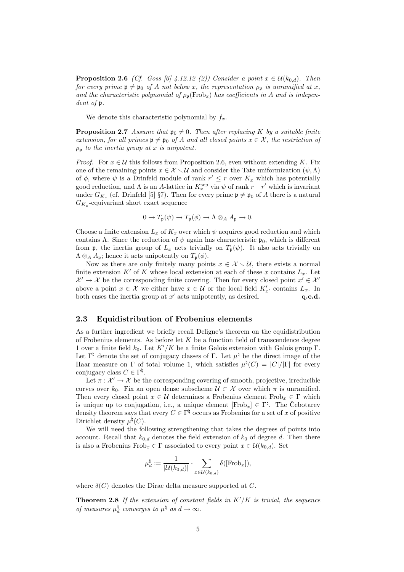**Proposition 2.6** (Cf. Goss [6] 4.12.12 (2)) Consider a point  $x \in \mathcal{U}(k_{0,d})$ . Then for every prime  $\mathfrak{p} \neq \mathfrak{p}_0$  of A not below x, the representation  $\rho_{\mathfrak{p}}$  is unramified at x, and the characteristic polynomial of  $\rho_n(\text{Frob}_x)$  has coefficients in A and is independent of  $\mathfrak v$ .

We denote this characteristic polynomial by  $f_x$ .

**Proposition 2.7** Assume that  $\mathfrak{p}_0 \neq 0$ . Then after replacing K by a suitable finite extension, for all primes  $\mathfrak{p} \neq \mathfrak{p}_0$  of A and all closed points  $x \in \mathcal{X}$ , the restriction of  $\rho_{\rm p}$  to the inertia group at x is unipotent.

*Proof.* For  $x \in \mathcal{U}$  this follows from Proposition 2.6, even without extending K. Fix one of the remaining points  $x \in \mathcal{X} \setminus \mathcal{U}$  and consider the Tate uniformization  $(\psi, \Lambda)$ of  $\phi$ , where  $\psi$  is a Drinfeld module of rank  $r' \leq r$  over  $K_x$  which has potentially good reduction, and  $\Lambda$  is an A-lattice in  $K_x^{\text{sep}}$  via  $\psi$  of rank  $r - r'$  which is invariant under  $G_{K_x}$  (cf. Drinfeld [5] §7). Then for every prime  $\mathfrak{p} \neq \mathfrak{p}_0$  of A there is a natural  $G_{K_x}$ -equivariant short exact sequence

$$
0 \to T_{\mathfrak{p}}(\psi) \to T_{\mathfrak{p}}(\phi) \to \Lambda \otimes_A A_{\mathfrak{p}} \to 0.
$$

Choose a finite extension  $L_x$  of  $K_x$  over which  $\psi$  acquires good reduction and which contains Λ. Since the reduction of  $\psi$  again has characteristic  $\mathfrak{p}_0$ , which is different from **p**, the inertia group of  $L_x$  acts trivially on  $T_p(\psi)$ . It also acts trivially on  $\Lambda \otimes_A A_{\mathfrak{p}}$ ; hence it acts unipotently on  $T_{\mathfrak{p}}(\phi)$ .

Now as there are only finitely many points  $x \in \mathcal{X} \setminus \mathcal{U}$ , there exists a normal finite extension K' of K whose local extension at each of these x contains  $L<sub>x</sub>$ . Let  $\mathcal{X}' \to \mathcal{X}$  be the corresponding finite covering. Then for every closed point  $x' \in \mathcal{X}'$ above a point  $x \in \mathcal{X}$  we either have  $x \in \mathcal{U}$  or the local field  $K'_{x'}$  contains  $L_x$ . In both cases the inertia group at  $x'$  acts unipotently, as desired.  $q.e.d.$ 

#### 2.3 Equidistribution of Frobenius elements

As a further ingredient we briefly recall Deligne's theorem on the equidistribution of Frobenius elements. As before let  $K$  be a function field of transcendence degree 1 over a finite field  $k_0$ . Let  $K'/K$  be a finite Galois extension with Galois group Γ. Let  $\Gamma^{\natural}$  denote the set of conjugacy classes of Γ. Let  $\mu^{\natural}$  be the direct image of the Haar measure on  $\Gamma$  of total volume 1, which satisfies  $\mu^{\natural}(C) = |C|/|\Gamma|$  for every conjugacy class  $C \in \Gamma^{\natural}$ .

Let  $\pi : \mathcal{X}' \to \mathcal{X}$  be the corresponding covering of smooth, projective, irreducible curves over  $k_0$ . Fix an open dense subscheme  $\mathcal{U} \subset \mathcal{X}$  over which  $\pi$  is unramified. Then every closed point  $x \in \mathcal{U}$  determines a Frobenius element Frob<sub>x</sub>  $\in \Gamma$  which is unique up to conjugation, i.e., a unique element  $[\text{Frob}_x] \in \Gamma^{\natural}$ . The Cebotarev density theorem says that every  $C \in \Gamma^{\natural}$  occurs as Frobenius for a set of x of positive Dirichlet density  $\mu^{\natural}(C)$ .

We will need the following strengthening that takes the degrees of points into account. Recall that  $k_{0,d}$  denotes the field extension of  $k_0$  of degree d. Then there is also a Frobenius  $Frob_x \in \Gamma$  associated to every point  $x \in \mathcal{U}(k_{0,d})$ . Set

$$
\mu_d^{\natural}:=\frac{1}{|\mathcal{U}(k_{0,d})|}\cdot \sum_{x\in \mathcal{U}(k_{0,d})}\delta([\mathrm{Frob}_x]),
$$

where  $\delta(C)$  denotes the Dirac delta measure supported at C.

**Theorem 2.8** If the extension of constant fields in  $K'/K$  is trivial, the sequence of measures  $\mu_d^{\natural}$  converges to  $\mu^{\natural}$  as  $d \to \infty$ .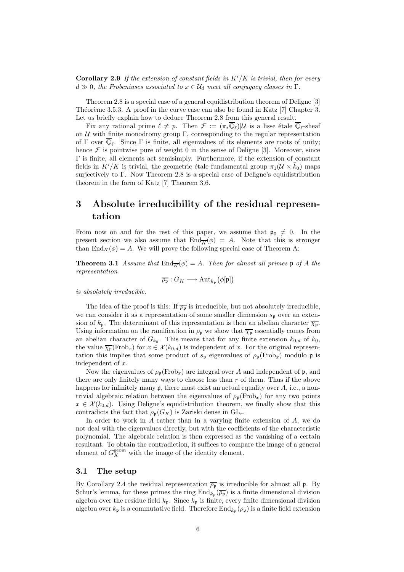**Corollary 2.9** If the extension of constant fields in  $K'/K$  is trivial, then for every  $d \gg 0$ , the Frobeniuses associated to  $x \in \mathcal{U}_d$  meet all conjugacy classes in  $\Gamma$ .

Theorem 2.8 is a special case of a general equidistribution theorem of Deligne [3] Théorème 3.5.3. A proof in the curve case can also be found in Katz  $[7]$  Chapter 3. Let us briefly explain how to deduce Theorem 2.8 from this general result.

Fix any rational prime  $\ell \neq p$ . Then  $\mathcal{F} := (\pi_* \mathbb{Q}_\ell) | \mathcal{U}$  is a lisse étale  $\mathbb{Q}_\ell$ -sheaf on  $\mathcal U$  with finite monodromy group  $\Gamma$ , corresponding to the regular representation of  $\Gamma$  over  $\mathbb{Q}_\ell$ . Since  $\Gamma$  is finite, all eigenvalues of its elements are roots of unity; hence  $\mathcal F$  is pointwise pure of weight 0 in the sense of Deligne [3]. Moreover, since Γ is finite, all elements act semisimply. Furthermore, if the extension of constant fields in  $K'/K$  is trivial, the geometric étale fundamental group  $\pi_1(U \times \bar{k}_0)$  maps surjectively to Γ. Now Theorem 2.8 is a special case of Deligne's equidistribution theorem in the form of Katz [7] Theorem 3.6.

# 3 Absolute irreducibility of the residual representation

From now on and for the rest of this paper, we assume that  $\mathfrak{p}_0 \neq 0$ . In the present section we also assume that  $\text{End}_{\overline{K}}(\phi) = A$ . Note that this is stronger than  $\text{End}_K(\phi) = A$ . We will prove the following special case of Theorem A:

**Theorem 3.1** Assume that  $\text{End}_{\overline{K}}(\phi) = A$ . Then for almost all primes  $\mathfrak{p}$  of A the representation

$$
\overline{\rho_{\mathfrak{p}}}:G_K\longrightarrow \mathrm{Aut}_{k_{\mathfrak{p}}}\big(\phi[\mathfrak{p}]\big)
$$

is absolutely irreducible.

The idea of the proof is this: If  $\overline{\rho_{p}}$  is irreducible, but not absolutely irreducible, we can consider it as a representation of some smaller dimension  $s_p$  over an extension of  $k_p$ . The determinant of this representation is then an abelian character  $\overline{\chi_p}$ . Using information on the ramification in  $\rho_{\mathfrak{p}}$  we show that  $\overline{\chi_{\mathfrak{p}}}$  essentially comes from an abelian character of  $G_{k_0}$ . This means that for any finite extension  $k_{0,d}$  of  $k_0$ , the value  $\overline{\chi_{\mathfrak{p}}}(\text{Frob}_x)$  for  $x \in \mathcal{X}(k_{0,d})$  is independent of x. For the original representation this implies that some product of  $s_p$  eigenvalues of  $\rho_p(\text{Frob}_x)$  modulo p is independent of x.

Now the eigenvalues of  $\rho_{p}(\text{Frob}_{x})$  are integral over A and independent of p, and there are only finitely many ways to choose less than  $r$  of them. Thus if the above happens for infinitely many  $\mathfrak{p}$ , there must exist an actual equality over  $A$ , i.e., a nontrivial algebraic relation between the eigenvalues of  $\rho_p(\text{Frob}_x)$  for any two points  $x \in \mathcal{X}(k_{0,d})$ . Using Deligne's equidistribution theorem, we finally show that this contradicts the fact that  $\rho_{p}(G_K)$  is Zariski dense in  $GL_r$ .

In order to work in A rather than in a varying finite extension of A, we do not deal with the eigenvalues directly, but with the coefficients of the characteristic polynomial. The algebraic relation is then expressed as the vanishing of a certain resultant. To obtain the contradiction, it suffices to compare the image of a general element of  $G_K^{\text{geom}}$  with the image of the identity element.

#### 3.1 The setup

By Corollary 2.4 the residual representation  $\overline{\rho_{\mathfrak{p}}}$  is irreducible for almost all **p**. By Schur's lemma, for these primes the ring  $\text{End}_{k_{\mathfrak{p}}}(\overline{\rho_{\mathfrak{p}}})$  is a finite dimensional division algebra over the residue field  $k_p$ . Since  $k_p$  is finite, every finite dimensional division algebra over  $k_{\mathfrak{p}}$  is a commutative field. Therefore  $\rm{End}_{k_{\mathfrak{p}}}(\overline{\rho_{\mathfrak{p}}})$  is a finite field extension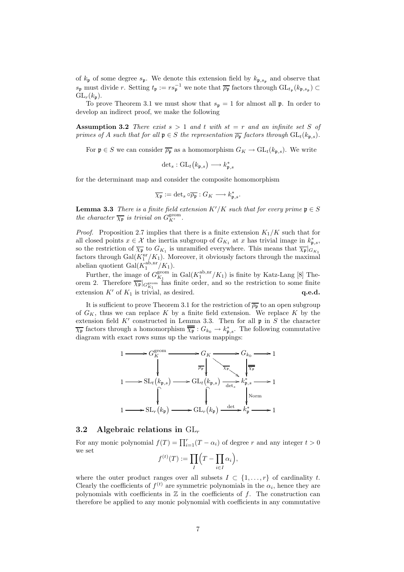of  $k_{\mathfrak{p}}$  of some degree  $s_{\mathfrak{p}}$ . We denote this extension field by  $k_{\mathfrak{p},s_{\mathfrak{p}}}$  and observe that  $s_{\mathfrak{p}}$  must divide r. Setting  $t_{\mathfrak{p}} := rs_{\mathfrak{p}}^{-1}$  we note that  $\overline{\rho_{\mathfrak{p}}}$  factors through  $\mathrm{GL}_{t_{\mathfrak{p}}}(k_{\mathfrak{p},s_{\mathfrak{p}}}) \subset$  $GL_r(k_p)$ .

To prove Theorem 3.1 we must show that  $s_p = 1$  for almost all p. In order to develop an indirect proof, we make the following

Assumption 3.2 There exist  $s > 1$  and t with  $st = r$  and an infinite set S of primes of A such that for all  $\mathfrak{p} \in S$  the representation  $\overline{\rho_{\mathfrak{p}}}$  factors through  $\mathrm{GL}_t(k_{\mathfrak{p},s})$ .

For  $\mathfrak{p} \in S$  we can consider  $\overline{\rho_{\mathfrak{p}}}$  as a homomorphism  $G_K \to GL_t(k_{\mathfrak{p},s})$ . We write

$$
\det_s: \operatorname{GL}_t(k_{\mathfrak{p},s}) \longrightarrow k_{\mathfrak{p},s}^*
$$

for the determinant map and consider the composite homomorphism

$$
\overline{\chi_{\mathfrak{p}}}:=\det_s\circ\overline{\rho_{\mathfrak{p}}}:G_K\longrightarrow k_{\mathfrak{p},s}^*.
$$

**Lemma 3.3** There is a finite field extension  $K'/K$  such that for every prime  $\mathfrak{p} \in S$ the character  $\overline{\chi_{\mathfrak{p}}}$  is trivial on  $G_{K'}^{\text{geom}}$ .

*Proof.* Proposition 2.7 implies that there is a finite extension  $K_1/K$  such that for all closed points  $x \in \mathcal{X}$  the inertia subgroup of  $G_{K_1}$  at x has trivial image in  $k^*_{\mathfrak{p},s}$ , so the restriction of  $\overline{\chi_{\mathfrak{p}}}$  to  $G_{K_1}$  is unramified everywhere. This means that  $\overline{\chi_{\mathfrak{p}}}|_{G_{K_1}}$ factors through  $Gal(K_1^{\text{nr}}/K_1)$ . Moreover, it obviously factors through the maximal abelian quotient  $Gal(K_1^{\text{ab,m}}/K_1)$ .

Further, the image of  $G_{K_1}^{\text{geom}}$  in  $Gal(K_1^{\text{ab},\text{nr}}/K_1)$  is finite by Katz-Lang [8] Theorem 2. Therefore  $\overline{\chi_{\mathfrak{p}}}|_{G_{K_1}^{\text{geom}}}$  has finite order, and so the restriction to some finite extension  $K'$  of  $K_1$  is trivial, as desired.  $\qquad \qquad \mathbf{q.e.d.}$ 

It is sufficient to prove Theorem 3.1 for the restriction of  $\overline{\rho_{\mathfrak{p}}}$  to an open subgroup of  $G_K$ , thus we can replace K by a finite field extension. We replace K by the extension field  $K'$  constructed in Lemma 3.3. Then for all  $\mathfrak p$  in S the character  $\overline{\chi_{\mathfrak{p}}}$  factors through a homomorphism  $\overline{\overline{\chi_{\mathfrak{p}}}}$  :  $G_{k_0} \to k_{\mathfrak{p},s}^*$ . The following commutative diagram with exact rows sums up the various mappings:



#### 3.2 Algebraic relations in  $GL_r$

For any monic polynomial  $f(T) = \prod_{i=1}^{r} (T - \alpha_i)$  of degree r and any integer  $t > 0$ we set

$$
f^{(t)}(T) := \prod_{I} \left( T - \prod_{i \in I} \alpha_i \right),
$$

where the outer product ranges over all subsets  $I \subset \{1, \ldots, r\}$  of cardinality t. Clearly the coefficients of  $f^{(t)}$  are symmetric polynomials in the  $\alpha_i$ , hence they are polynomials with coefficients in  $\mathbb Z$  in the coefficients of  $f$ . The construction can therefore be applied to any monic polynomial with coefficients in any commutative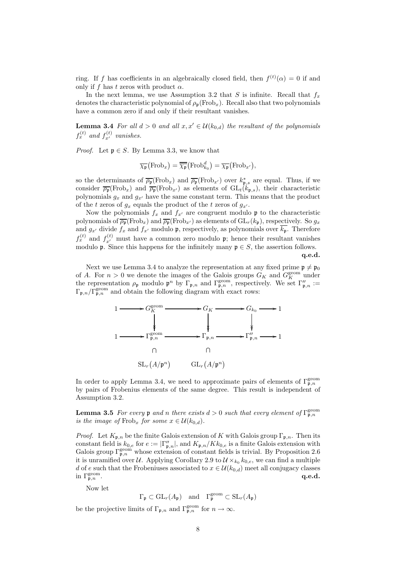ring. If f has coefficients in an algebraically closed field, then  $f^{(t)}(\alpha) = 0$  if and only if f has t zeros with product  $\alpha$ .

In the next lemma, we use Assumption 3.2 that S is infinite. Recall that  $f_x$ denotes the characteristic polynomial of  $\rho_n(\text{Frob}_x)$ . Recall also that two polynomials have a common zero if and only if their resultant vanishes.

**Lemma 3.4** For all  $d > 0$  and all  $x, x' \in \mathcal{U}(k_{0,d})$  the resultant of the polynomials  $f_x^{(t)}$  and  $f_{x'}^{(t)}$  vanishes.

*Proof.* Let  $\mathfrak{p} \in S$ . By Lemma 3.3, we know that

$$
\overline{\chi_{\mathfrak{p}}}(\mathrm{Frob}_x)=\overline{\overline{\chi_{\mathfrak{p}}}}(\mathrm{Frob}_{k_0}^d)=\overline{\chi_{\mathfrak{p}}}(\mathrm{Frob}_{x'}),
$$

so the determinants of  $\overline{\rho_{\mathfrak{p}}}(\text{Frob}_x)$  and  $\overline{\rho_{\mathfrak{p}}}(\text{Frob}_{x'})$  over  $k_{\mathfrak{p},s}^*$  are equal. Thus, if we consider  $\overline{\rho_{\mathfrak{p}}}(\text{Frob}_x)$  and  $\overline{\rho_{\mathfrak{p}}}(\text{Frob}_{x'})$  as elements of  $\text{GL}_t(k_{\mathfrak{p},s})$ , their characteristic polynomials  $g_x$  and  $g_{x'}$  have the same constant term. This means that the product of the t zeros of  $g_x$  equals the product of the t zeros of  $g_{x'}$ .

Now the polynomials  $f_x$  and  $f_{x'}$  are congruent modulo p to the characteristic polynomials of  $\overline{\rho_{\mathfrak{p}}}(\text{Frob}_x)$  and  $\overline{\rho_{\mathfrak{p}}}(\text{Frob}_{x'})$  as elements of  $\text{GL}_r(k_{\mathfrak{p}})$ , respectively. So  $g_x$ and  $g_{x'}$  divide  $f_x$  and  $f_{x'}$  modulo p, respectively, as polynomials over  $\overline{k_p}$ . Therefore  $f_x^{(t)}$  and  $f_{x'}^{(t)}$  must have a common zero modulo  $\mathfrak{p}$ ; hence their resultant vanishes modulo **p**. Since this happens for the infinitely many  $\mathfrak{p} \in S$ , the assertion follows.

q.e.d.

Next we use Lemma 3.4 to analyze the representation at any fixed prime  $\mathfrak{p} \neq \mathfrak{p}_0$ of A. For  $n > 0$  we denote the images of the Galois groups  $G_K$  and  $G_K^{\text{geom}}$  under the representation  $\rho_{\frak{p}}$  modulo  $\frak{p}^n$  by  $\Gamma_{\frak{p},n}$  and  $\Gamma_{\frak{p},n}^{\text{geom}}$ , respectively. We set  $\Gamma''_{\frak{p},n}$  :=  $\Gamma_{\mathfrak{p},n}/\Gamma_{\mathfrak{p},n}^{\text{geom}}$  and obtain the following diagram with exact rows:



In order to apply Lemma 3.4, we need to approximate pairs of elements of  $\Gamma_{\mathfrak{p},n}^{\text{geom}}$ by pairs of Frobenius elements of the same degree. This result is independent of Assumption 3.2.

**Lemma 3.5** For every  $\mathfrak{p}$  and n there exists  $d > 0$  such that every element of  $\Gamma_{\mathfrak{p},n}^{\text{geom}}$ is the image of  $Frob_x$  for some  $x \in \mathcal{U}(k_{0,d})$ .

*Proof.* Let  $K_{\mathfrak{p},n}$  be the finite Galois extension of K with Galois group  $\Gamma_{\mathfrak{p},n}$ . Then its constant field is  $k_{0,e}$  for  $e := |\Gamma''_{\mathfrak{p},n}|$ , and  $K_{\mathfrak{p},n}/Kk_{0,e}$  is a finite Galois extension with Galois group  $\Gamma_{\mathfrak{p},n}^{\text{geom}}$  whose extension of constant fields is trivial. By Proposition 2.6 it is unramified over U. Applying Corollary 2.9 to  $\mathcal{U} \times_{k_0} k_{0,e}$ , we can find a multiple d of e such that the Frobeniuses associated to  $x \in \mathcal{U}(k_{0,d})$  meet all conjugacy classes in  $\Gamma_{\mathfrak{p},n}^{\text{geom}}$ .  $\lim_{\mathfrak{p},n} \frac{\mathrm{d}\mathfrak{p}}{\mathfrak{p}}$  . and the set of the set of the set of the set of the set of the set of the set of the set of the set of the set of the set of the set of the set of the set of the set of the set of the

Now let

 $\Gamma_{\mathfrak{p}} \subset \mathrm{GL}_r(A_{\mathfrak{p}})$  and  $\Gamma_{\mathfrak{p}}^{\mathrm{geom}} \subset \mathrm{SL}_r(A_{\mathfrak{p}})$ 

be the projective limits of  $\Gamma_{\mathfrak{p},n}$  and  $\Gamma_{\mathfrak{p},n}^{\text{geom}}$  for  $n \to \infty$ .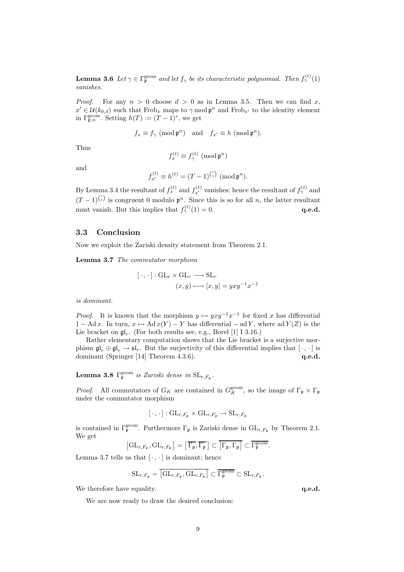**Lemma 3.6** Let  $\gamma \in \Gamma_{\mathfrak{p}}^{\text{geom}}$  and let  $f_{\gamma}$  be its characteristic polynomial. Then  $f_{\gamma}^{(t)}(1)$ vanishes.

*Proof.* For any  $n > 0$  choose  $d > 0$  as in Lemma 3.5. Then we can find x,  $x' \in \mathcal{U}(k_{0,d})$  such that  $Frob_x$  maps to  $\gamma \mod \mathfrak{p}^n$  and  $Frob_{x'}$  to the identity element in  $\Gamma^{\text{geom}}_{\mathfrak{p},n}$ . Setting  $h(T) := (T-1)^r$ , we get

$$
f_x \equiv f_\gamma \pmod{\mathfrak{p}^n}
$$
 and  $f_{x'} \equiv h \pmod{\mathfrak{p}^n}$ .

Thus

$$
f_x^{(t)} \equiv f_\gamma^{(t)} \, (\text{mod } \mathfrak{p}^n)
$$

and

$$
f_{x'}^{(t)} \equiv h^{(t)} = (T - 1)^{r \choose t} \; (\text{mod } \mathfrak{p}^n).
$$

By Lemma 3.4 the resultant of  $f_x^{(t)}$  and  $f_{x'}^{(t)}$  vanishes; hence the resultant of  $f_\gamma^{(t)}$  and  $(T-1)^{r \choose t}$  is congruent 0 modulo  $\mathfrak{p}^n$ . Since this is so for all n, the latter resultant must vanish. But this implies that  $f_{\gamma}^{(t)}(1) = 0$ .  $q.e.d.$ 

#### 3.3 Conclusion

Now we exploit the Zariski density statement from Theorem 2.1.

Lemma 3.7 The commutator morphism

$$
[\cdot, \cdot] : GL_r \times GL_r \longrightarrow SL_r
$$

$$
(x, y) \longmapsto [x, y] = yxy^{-1}x^{-1}
$$

is dominant.

*Proof.* It is known that the morphism  $y \mapsto yxy^{-1}x^{-1}$  for fixed x has differential  $1 - \text{Ad }x$ . In turn,  $x \mapsto \text{Ad }x(Y) - Y$  has differential  $-\text{ad }Y$ , where ad  $Y(Z)$  is the Lie bracket on  $\mathfrak{gl}_r$ . (For both results see, e.g., Borel [1] I 3.16.)

Rather elementary computation shows that the Lie bracket is a surjective morphism  $\mathfrak{gl}_r \oplus \mathfrak{gl}_r \to \mathfrak{sl}_r$ . But the surjectivity of this differential implies that  $[\cdot, \cdot]$  is dominant (Springer [14] Theorem 4.3.6). **q.e.d.** q.e.d.

**Lemma 3.8**  $\Gamma_{\mathfrak{p}}^{\text{geom}}$  is Zariski dense in  $\text{SL}_{r,F_{\mathfrak{p}}}.$ 

*Proof.* All commutators of  $G_K$  are contained in  $G_K^{\text{geom}}$ , so the image of  $\Gamma_{\mathfrak{p}} \times \Gamma_{\mathfrak{p}}$ under the commutator morphism

$$
[\,\cdot\,,\,\cdot\,]:\mathrm{GL}_{r,F_{\mathfrak{p}}}\times\mathrm{GL}_{r,F_{\mathfrak{p}}}\to\mathrm{SL}_{r,F_{\mathfrak{p}}}
$$

is contained in  $\Gamma_{\mathfrak{p}}^{\text{geom}}$ . Furthermore  $\Gamma_{\mathfrak{p}}$  is Zariski dense in  $\text{GL}_{r,F_{\mathfrak{p}}}$  by Theorem 2.1. We get

$$
\left[\mathrm{GL}_{r,F_{\mathfrak{p}}},\mathrm{GL}_{r,F_{\mathfrak{p}}}\right] = \left[\,\overline{\Gamma_{\mathfrak{p}}},\overline{\Gamma_{\mathfrak{p}}}\,\right] \subset \overline{\left[\Gamma_{\mathfrak{p}},\Gamma_{\mathfrak{p}}\right]} \subset \overline{\Gamma_{\mathfrak{p}}^{\text{geom}}}.
$$

Lemma 3.7 tells us that  $[\cdot, \cdot]$  is dominant; hence

$$
\mathrm{SL}_{r,F_{\mathfrak{p}}}=\overline{\left[\mathrm{GL}_{r,F_{\mathfrak{p}}},\mathrm{GL}_{r,F_{\mathfrak{p}}}\right]}\subset\overline{\Gamma_{\mathfrak{p}}^{\mathrm{geom}}}\subset\mathrm{SL}_{r,F_{\mathfrak{p}}}.
$$

We therefore have equality.  $q.e.d.$ 

We are now ready to draw the desired conclusion: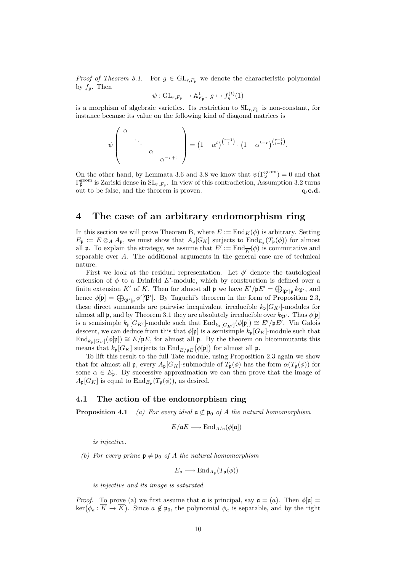*Proof of Theorem 3.1.* For  $g \in GL_{r,F_p}$  we denote the characteristic polynomial by  $f_g$ . Then

$$
\psi: GL_{r,F_{\mathfrak{p}}}\to \mathbb{A}_{F_{\mathfrak{p}}}^1, g\mapsto f_g^{(t)}(1)
$$

is a morphism of algebraic varieties. Its restriction to  $SL_{r,F_p}$  is non-constant, for instance because its value on the following kind of diagonal matrices is

$$
\psi\left(\begin{array}{ccc} \alpha & & \\ & \ddots & \\ & & \alpha & \\ & & & \alpha^{-r+1} \end{array}\right) = \left(1 - \alpha^t\right)^{\binom{r-1}{t}} \cdot \left(1 - \alpha^{t-r}\right)^{\binom{r-1}{t-1}}.
$$

On the other hand, by Lemmata 3.6 and 3.8 we know that  $\psi(\Gamma_{\mathfrak{p}}^{\text{geom}}) = 0$  and that  $\Gamma_{\mathfrak{p}}^{\text{geom}}$  is Zariski dense in  $SL_{r,F_{\mathfrak{p}}}$ . In view of this contradiction, Assumption 3.2 turns out to be false, and the theorem is proven.  $q.e.d.$ 

# 4 The case of an arbitrary endomorphism ring

In this section we will prove Theorem B, where  $E := \text{End}_K(\phi)$  is arbitrary. Setting  $E_{\mathfrak{p}} := E \otimes_A A_{\mathfrak{p}}$ , we must show that  $A_{\mathfrak{p}}[G_K]$  surjects to  $\text{End}_{E_{\mathfrak{p}}}(T_{\mathfrak{p}}(\phi))$  for almost all **p**. To explain the strategy, we assume that  $E' := \text{End}_{\overline{K}}(\phi)$  is commutative and separable over A. The additional arguments in the general case are of technical nature.

First we look at the residual representation. Let  $\phi'$  denote the tautological extension of  $\phi$  to a Drinfeld E'-module, which by construction is defined over a finite extension K' of K. Then for almost all  $\mathfrak{p}$  we have  $E'/\mathfrak{p}E' = \bigoplus_{\mathfrak{P}' | \mathfrak{p}} k_{\mathfrak{P}'},$  and hence  $\phi[\mathfrak{p}] = \bigoplus_{\mathfrak{P}'|\mathfrak{p}} \phi'[\mathfrak{P}']$ . By Taguchi's theorem in the form of Proposition 2.3, these direct summands are pairwise inequivalent irreducible  $k_{\mathfrak{p}}[G_{K'}]$ -modules for almost all **p**, and by Theorem 3.1 they are absolutely irreducible over  $k_{\mathfrak{P}}$ . Thus  $\phi[\mathfrak{p}]$ is a semisimple  $k_{\mathfrak{p}}[G_{K'}]$ -module such that  $\text{End}_{k_{\mathfrak{p}}[G_{K'}]}(\phi[\mathfrak{p}]) \cong E'/\mathfrak{p}E'$ . Via Galois descent, we can deduce from this that  $\phi[\mathfrak{p}]$  is a semisimple  $k_{\mathfrak{p}}[G_K]$ -module such that  $\text{End}_{k_{\mathfrak{p}}[G_K]}(\phi[\mathfrak{p}]) \cong E/\mathfrak{p}E$ , for almost all  $\mathfrak{p}$ . By the theorem on bicommutants this means that  $k_{\mathfrak{p}}[G_K]$  surjects to  $\text{End}_{E/\mathfrak{p}(\mathcal{E})}(\phi[\mathfrak{p}])$  for almost all  $\mathfrak{p}$ .

To lift this result to the full Tate module, using Proposition 2.3 again we show that for almost all **p**, every  $A_{\mathfrak{p}}[G_K]$ -submodule of  $T_{\mathfrak{p}}(\phi)$  has the form  $\alpha(T_{\mathfrak{p}}(\phi))$  for some  $\alpha \in E_p$ . By successive approximation we can then prove that the image of  $A_{\mathfrak{p}}[G_K]$  is equal to  $\text{End}_{E_{\mathfrak{p}}}(T_{\mathfrak{p}}(\phi))$ , as desired.

## 4.1 The action of the endomorphism ring

**Proposition 4.1** (a) For every ideal  $a \not\subset p_0$  of A the natural homomorphism

$$
E/\mathfrak{a} E \longrightarrow \mathrm{End}_{A/\mathfrak{a}}(\phi[\mathfrak{a}])
$$

is injective.

(b) For every prime  $\mathfrak{p} \neq \mathfrak{p}_0$  of A the natural homomorphism

$$
E_{\mathfrak{p}} \longrightarrow \text{End}_{A_{\mathfrak{p}}}(T_{\mathfrak{p}}(\phi))
$$

is injective and its image is saturated.

*Proof.* To prove (a) we first assume that  $\alpha$  is principal, say  $\alpha = (a)$ . Then  $\phi[\alpha] =$  $\ker(\phi_a: \overline{K} \to \overline{K})$ . Since  $a \notin \mathfrak{p}_0$ , the polynomial  $\phi_a$  is separable, and by the right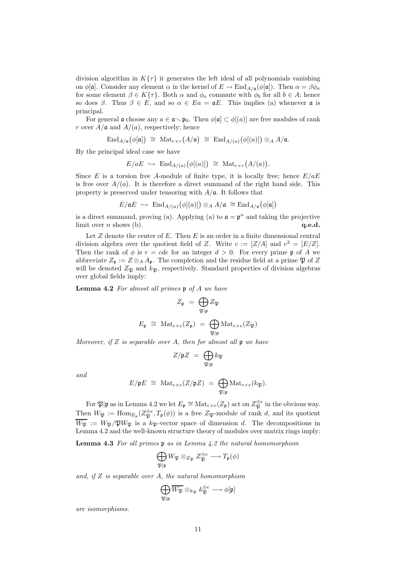division algorithm in  $K\{\tau\}$  it generates the left ideal of all polynomials vanishing on  $\phi[\mathfrak{a}]$ . Consider any element  $\alpha$  in the kernel of  $E \to \text{End}_{A/\mathfrak{a}}(\phi[\mathfrak{a}])$ . Then  $\alpha = \beta \phi_a$ for some element  $\beta \in K\{\tau\}$ . Both  $\alpha$  and  $\phi_a$  commute with  $\phi_b$  for all  $b \in A$ ; hence so does  $\beta$ . Thus  $\beta \in E$ , and so  $\alpha \in E$ a =  $\mathfrak{a}E$ . This implies (a) whenever  $\mathfrak{a}$  is principal.

For general  $\mathfrak a$  choose any  $a \in \mathfrak a \setminus \mathfrak p_0$ . Then  $\phi[\mathfrak a] \subset \phi[(a)]$  are free modules of rank r over  $A/\mathfrak{a}$  and  $A/(a)$ , respectively; hence

$$
\operatorname{End}_{A/\mathfrak{a}}(\phi[\mathfrak{a}]) \;\cong\; \operatorname{Mat}_{r\times r}(A/\mathfrak{a}) \;\cong\; \operatorname{End}_{A/(\mathfrak{a})}\bigl(\phi[(a)]\bigr)\otimes_A A/\mathfrak{a}.
$$

By the principal ideal case we have

$$
E/aE \hookrightarrow \text{End}_{A/(a)}(\phi[(a)]) \cong \text{Mat}_{r \times r}(A/(a)).
$$

Since E is a torsion free A-module of finite type, it is locally free; hence  $E/aE$ is free over  $A/(a)$ . It is therefore a direct summand of the right hand side. This property is preserved under tensoring with  $A/\mathfrak{a}$ . It follows that

$$
E/\mathfrak{a}E \ \hookrightarrow \ \text{End}_{A/(a)}\big(\phi[(a)]\big) \otimes_A A/\mathfrak{a} \ \cong \text{End}_{A/\mathfrak{a}}\big(\phi[\mathfrak{a}]\big)
$$

is a direct summand, proving (a). Applying (a) to  $\mathfrak{a} = \mathfrak{p}^n$  and taking the projective limit over  $n$  shows (b).  $q.e.d.$ 

Let  $Z$  denote the center of  $E$ . Then  $E$  is an order in a finite dimensional central division algebra over the quotient field of Z. Write  $c := [Z/A]$  and  $e^2 = [E/Z]$ . Then the rank of  $\phi$  is  $r = cde$  for an integer  $d > 0$ . For every prime p of A we abbreviate  $Z_p := Z \otimes_A A_p$ . The completion and the residue field at a prime  $\mathfrak{P}$  of Z will be denoted  $Z_{\mathfrak{P}}$  and  $k_{\mathfrak{P}}$ , respectively. Standard properties of division algebras over global fields imply:

Lemma 4.2 For almost all primes  $\mathfrak p$  of A we have

$$
Z_{\mathfrak{p}} = \bigoplus_{\mathfrak{P}|\mathfrak{p}} Z_{\mathfrak{P}}
$$

$$
E_{\mathfrak{p}} \cong \operatorname{Mat}_{e \times e}(Z_{\mathfrak{p}}) = \bigoplus_{\mathfrak{P}|\mathfrak{p}} \operatorname{Mat}_{e \times e}(Z_{\mathfrak{P}})
$$

Moreover, if Z is separable over A, then for almost all  $\mathfrak p$  we have

$$
Z/\mathfrak{p}Z = \bigoplus_{\mathfrak{P}|\mathfrak{p}} k_{\mathfrak{P}}
$$

and

$$
E/\mathfrak{p}E \,\,\cong\,\, \mathrm{Mat}_{e\times e}(Z/\mathfrak{p}Z) \,\,=\,\, \bigoplus_{\mathfrak{P}|\mathfrak{p}} \mathrm{Mat}_{e\times e}(k_{\mathfrak{P}}).
$$

For  $\mathfrak{P}|\mathfrak{p}$  as in Lemma 4.2 we let  $E_{\mathfrak{p}} \cong \text{Mat}_{e \times e}(Z_{\mathfrak{p}})$  act on  $Z_{\mathfrak{P}}^{\oplus e}$  in the obvious way. Then  $W_{\mathfrak{P}} := \text{Hom}_{E_{\mathfrak{p}}}(Z_{\mathfrak{P}}^{\oplus e}, T_{\mathfrak{p}}(\phi))$  is a free  $Z_{\mathfrak{P}}$ -module of rank d, and its quotient  $\overline{W_{\mathfrak{P}}} := W_{\mathfrak{P}} / \mathfrak{P} W_{\mathfrak{P}}$  is a k<sub>P</sub>-vector space of dimension d. The decompositions in Lemma 4.2 and the well-known structure theory of modules over matrix rings imply:

**Lemma 4.3** For all primes  $\mathfrak{p}$  as in Lemma 4.2 the natural homomorphism

$$
\bigoplus_{\mathfrak{P}|\mathfrak{p}} W_{\mathfrak{P}} \otimes_{Z_{\mathfrak{P}}} Z_{\mathfrak{P}}^{\oplus e} \longrightarrow T_{\mathfrak{p}}(\phi)
$$

and, if  $Z$  is separable over  $A$ , the natural homomorphism

$$
\bigoplus_{\mathfrak{P}|\mathfrak{p}} \overline{W_{\mathfrak{P}}}\otimes_{k_{\mathfrak{P}}}k_{\mathfrak{P}}^{\oplus e} \longrightarrow \phi[\mathfrak{p}]
$$

are isomorphisms.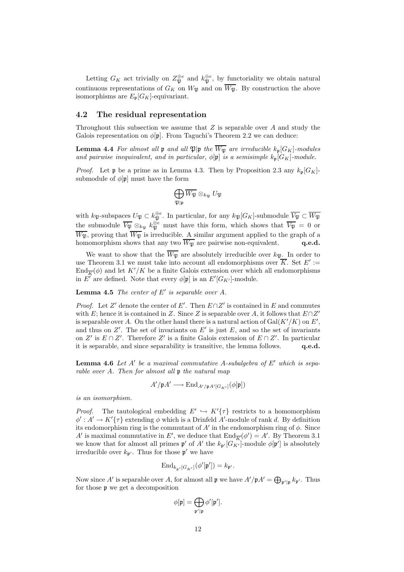Letting  $G_K$  act trivially on  $Z_{\mathfrak{P}}^{\oplus e}$  and  $k_{\mathfrak{P}}^{\oplus e}$ , by functoriality we obtain natural continuous representations of  $G_K$  on  $W_{\mathfrak{B}}$  and on  $\overline{W_{\mathfrak{B}}}$ . By construction the above isomorphisms are  $E_{\mathfrak{p}}[G_K]$ -equivariant.

#### 4.2 The residual representation

Throughout this subsection we assume that  $Z$  is separable over  $A$  and study the Galois representation on  $\phi[\mathfrak{p}]$ . From Taguchi's Theorem 2.2 we can deduce:

**Lemma 4.4** For almost all **p** and all  $\mathfrak{P}|\mathfrak{p}$  the  $\overline{W_{\mathfrak{P}}}$  are irreducible  $k_{\mathfrak{p}}[G_K]$ -modules and pairwise inequivalent, and in particular,  $\phi[\mathfrak{p}]$  is a semisimple  $k_{\mathfrak{p}}[G_K]$ -module.

*Proof.* Let **p** be a prime as in Lemma 4.3. Then by Proposition 2.3 any  $k_{p}[G_K]$ submodule of  $\phi[\mathfrak{p}]$  must have the form

$$
\bigoplus_{\mathfrak{P}|\mathfrak{p}} \overline{W_{\mathfrak{P}}} \otimes_{k_{\mathfrak{P}}} U_{\mathfrak{P}}
$$

with  $k_{\mathfrak{P}}$ -subspaces  $U_{\mathfrak{P}} \subset k_{\mathfrak{P}}^{\oplus e}$ . In particular, for any  $k_{\mathfrak{P}}[G_K]$ -submodule  $\overline{V_{\mathfrak{P}}} \subset \overline{W_{\mathfrak{P}}}$ the submodule  $\overline{V_{\mathfrak{P}}} \otimes_{k_{\mathfrak{P}}} k_{\mathfrak{P}}^{\oplus e}$  must have this form, which shows that  $\overline{V_{\mathfrak{P}}} = 0$  or  $\overline{W_{\mathfrak{P}}}$ , proving that  $\overline{W_{\mathfrak{P}}}$  is irreducible. A similar argument applied to the graph of a homomorphism shows that any two  $\overline{W_{\mathfrak{P}}}$  are pairwise non-equivalent. q.e.d.

We want to show that the  $\overline{W_{\mathfrak{P}}}$  are absolutely irreducible over  $k_{\mathfrak{P}}$ . In order to use Theorem 3.1 we must take into account all endomorphisms over  $\overline{K}$ . Set  $E' :=$  $\text{End}_{\overline{K}}(\phi)$  and let  $K'/K$  be a finite Galois extension over which all endomorphisms in E' are defined. Note that every  $\phi[\mathfrak{p}]$  is an  $E'[G_{K'}]$ -module.

#### **Lemma 4.5** The center of  $E'$  is separable over  $A$ .

*Proof.* Let Z' denote the center of E'. Then  $E \cap Z'$  is contained in E and commutes with E; hence it is contained in Z. Since Z is separable over A, it follows that  $E \cap Z'$ is separable over A. On the other hand there is a natural action of  $Gal(K'/K)$  on  $E'$ , and thus on  $Z'$ . The set of invariants on  $E'$  is just  $E$ , and so the set of invariants on Z' is  $E \cap Z'$ . Therefore Z' is a finite Galois extension of  $E \cap Z'$ . In particular it is separable, and since separability is transitive, the lemma follows. q.e.d.

**Lemma 4.6** Let  $A'$  be a maximal commutative A-subalgebra of  $E'$  which is separable over A. Then for almost all  $\mathfrak p$  the natural map

$$
A'/\mathfrak{p}A' \longrightarrow \text{End}_{A'/\mathfrak{p}A'[G_{K'}]}(\phi[\mathfrak{p}])
$$

is an isomorphism.

*Proof.* The tautological embedding  $E' \hookrightarrow K'(\tau)$  restricts to a homomorphism  $\phi' : A' \to K' \{\tau\}$  extending  $\phi$  which is a Drinfeld A'-module of rank d. By definition its endomorphism ring is the commutant of  $A'$  in the endomorphism ring of  $\phi$ . Since A' is maximal commutative in E', we deduce that  $\text{End}_{\overline{K}}(\phi') = A'$ . By Theorem 3.1 we know that for almost all primes  $\mathfrak{p}'$  of A' the  $k_{\mathfrak{p}'}[G_{K'}]$ -module  $\phi[\mathfrak{p}']$  is absolutely irreducible over  $k_{\mathfrak{p}'}$ . Thus for those  $\mathfrak{p}'$  we have

$$
\mathrm{End}_{k_{\mathfrak{p}'}[G_{K'}]}(\phi'[\mathfrak{p}'])=k_{\mathfrak{p}'}.
$$

Now since A' is separable over A, for almost all  $\mathfrak p$  we have  $A'/\mathfrak p A' = \bigoplus_{\mathfrak p' | \mathfrak p} k_{\mathfrak p'}$ . Thus for those p we get a decomposition

$$
\phi[\mathfrak{p}] = \bigoplus_{\mathfrak{p}'|\mathfrak{p}} \phi'[\mathfrak{p}'].
$$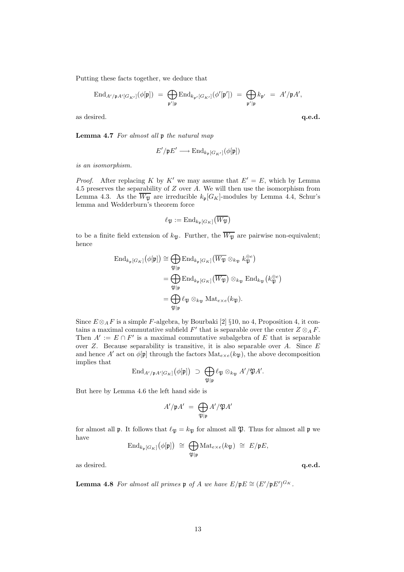Putting these facts together, we deduce that

$$
\operatorname{End}_{A'/\mathfrak{p}A'[G_{K'}]}(\phi[\mathfrak{p}]) \ = \ \bigoplus_{\mathfrak{p}'|\mathfrak{p}} \operatorname{End}_{k_{\mathfrak{p}'}[G_{K'}]}(\phi'[\mathfrak{p}']) \ = \ \bigoplus_{\mathfrak{p}'|\mathfrak{p}} k_{\mathfrak{p}'} \ = \ A'/\mathfrak{p}A',
$$

as desired.  $q.e.d.$ 

Lemma 4.7 For almost all  $\mathfrak p$  the natural map

$$
E'/\mathfrak{p} E' \longrightarrow \mathrm{End}_{k_{\mathfrak{p}}[G_{K'}]}(\phi[\mathfrak{p}])
$$

is an isomorphism.

*Proof.* After replacing K by K' we may assume that  $E' = E$ , which by Lemma 4.5 preserves the separability of  $Z$  over  $A$ . We will then use the isomorphism from Lemma 4.3. As the  $\overline{W_{\mathfrak{P}}}$  are irreducible  $k_{\mathfrak{p}}[G_K]$ -modules by Lemma 4.4, Schur's lemma and Wedderburn's theorem force

$$
\ell_{\mathfrak{P}} := \mathrm{End}_{k_{\mathfrak{p}}[G_K]}(\overline{W_{\mathfrak{P}}})
$$

to be a finite field extension of  $k_{\mathfrak{P}}$ . Further, the  $\overline{W_{\mathfrak{P}}}$  are pairwise non-equivalent; hence

$$
\operatorname{End}_{k_{\mathfrak{p}}[G_K]}(\phi[\mathfrak{p}]) \cong \bigoplus_{\mathfrak{P}|\mathfrak{p}} \operatorname{End}_{k_{\mathfrak{p}}[G_K]}(\overline{W_{\mathfrak{P}}} \otimes_{k_{\mathfrak{P}}} k_{\mathfrak{P}}^{\oplus e})
$$

$$
= \bigoplus_{\mathfrak{P}|\mathfrak{p}} \operatorname{End}_{k_{\mathfrak{p}}[G_K]}(\overline{W_{\mathfrak{P}}}) \otimes_{k_{\mathfrak{P}}} \operatorname{End}_{k_{\mathfrak{P}}}(k_{\mathfrak{P}}^{\oplus e})
$$

$$
= \bigoplus_{\mathfrak{P}|\mathfrak{p}} \ell_{\mathfrak{P}} \otimes_{k_{\mathfrak{P}}} \operatorname{Mat}_{e \times e}(k_{\mathfrak{P}}).
$$

Since  $E \otimes_A F$  is a simple F-algebra, by Bourbaki [2] §10, no 4, Proposition 4, it contains a maximal commutative subfield  $F'$  that is separable over the center  $Z \otimes_A F$ . Then  $A' := E \cap F'$  is a maximal commutative subalgebra of E that is separable over  $Z$ . Because separability is transitive, it is also separable over  $A$ . Since  $E$ and hence A' act on  $\phi[\mathfrak{p}]$  through the factors Mat<sub>e×e</sub>( $k_{\mathfrak{B}}$ ), the above decomposition implies that

$$
\operatorname{End}_{A'/\mathfrak{p}A'[G_K]}(\phi[\mathfrak{p}]) \supset \bigoplus_{\mathfrak{P}|\mathfrak{p}} \ell_{\mathfrak{P}} \otimes_{k_{\mathfrak{P}}} A'/\mathfrak{P}A'.
$$

But here by Lemma 4.6 the left hand side is

$$
A'/\mathfrak{p}A' = \bigoplus_{\mathfrak{P}|\mathfrak{p}} A'/\mathfrak{P}A'
$$

for almost all  $\mathfrak p$ . It follows that  $\ell_{\mathfrak P} = k_{\mathfrak P}$  for almost all  $\mathfrak P$ . Thus for almost all  $\mathfrak p$  we have

$$
\mathrm{End}_{k_{\mathfrak{p}}[G_K]}(\phi[\mathfrak{p}]) \,\,\cong\,\, \bigoplus_{\mathfrak{P}|\mathfrak{p}} \mathrm{Mat}_{e\times e}(k_{\mathfrak{P}}) \,\,\cong\,\, E/\mathfrak{p}E,
$$

as desired.  $q.e.d.$ 

**Lemma 4.8** For almost all primes  $\mathfrak{p}$  of A we have  $E/\mathfrak{p}E \cong (E'/\mathfrak{p}E')^{G_K}$ .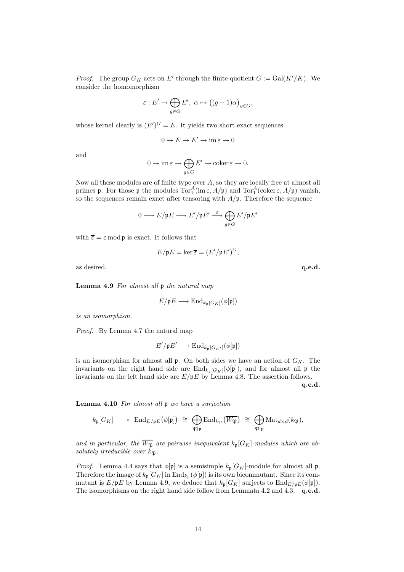*Proof.* The group  $G_K$  acts on E' through the finite quotient  $G := \text{Gal}(K'/K)$ . We consider the homomorphism

$$
\varepsilon: E' \to \bigoplus_{g \in G} E', \ \alpha \mapsto ((g-1)\alpha)_{g \in G},
$$

whose kernel clearly is  $(E')^G = E$ . It yields two short exact sequences

$$
0\to E\to E'\to \operatorname{im}\varepsilon\to 0
$$

and

$$
0 \to \operatorname{im} \varepsilon \to \bigoplus_{g \in G} E' \to \operatorname{coker} \varepsilon \to 0.
$$

Now all these modules are of finite type over  $A$ , so they are locally free at almost all primes **p**. For those **p** the modules  $\text{Tor}_1^A(\text{im }\varepsilon, A/\mathfrak{p})$  and  $\text{Tor}_1^A(\text{coker }\varepsilon, A/\mathfrak{p})$  vanish, so the sequences remain exact after tensoring with  $A/\mathfrak{p}$ . Therefore the sequence

$$
0 \longrightarrow E/\mathfrak{p} E \longrightarrow E'/\mathfrak{p} E' \stackrel{\overline{\varepsilon}}{\longrightarrow} \bigoplus_{g \in G} E'/\mathfrak{p} E'
$$

with  $\overline{\varepsilon} = \varepsilon \mod p$  is exact. It follows that

$$
E/\mathfrak{p}E = \ker \overline{\varepsilon} = (E'/\mathfrak{p}E')^G,
$$

as desired. **q.e.d. q.e.d.** 

Lemma 4.9 For almost all  $\mathfrak p$  the natural map

$$
E/\mathfrak{p}E \longrightarrow \mathrm{End}_{k_{\mathfrak{p}}[G_K]}(\phi[\mathfrak{p}])
$$

is an isomorphism.

Proof. By Lemma 4.7 the natural map

$$
E'/\mathfrak{p} E' \longrightarrow \mathrm{End}_{k_{\mathfrak{p}}[G_{K'}]}(\phi[\mathfrak{p}])
$$

is an isomorphism for almost all  $\mathfrak p$ . On both sides we have an action of  $G_K$ . The invariants on the right hand side are  $\text{End}_{k_{\mathfrak{p}}[G_K]}(\phi[\mathfrak{p}])$ , and for almost all  $\mathfrak{p}$  the invariants on the left hand side are  $E/\mathfrak{p}E$  by Lemma 4.8. The assertion follows.

q.e.d.

Lemma 4.10 For almost all p we have a surjection

$$
k_{\mathfrak{p}}[G_K] \longrightarrow \text{End}_{E/\mathfrak{p}E}(\phi[\mathfrak{p}]) \cong \bigoplus_{\mathfrak{P}|\mathfrak{p}} \text{End}_{k_{\mathfrak{P}}}(\overline{W_{\mathfrak{P}}}) \cong \bigoplus_{\mathfrak{P}|\mathfrak{p}} \text{Mat}_{d \times d}(k_{\mathfrak{P}}),
$$

and in particular, the  $\overline{W_{\mathfrak{P}}}$  are pairwise inequivalent  $k_{\mathfrak{p}}[G_K]$ -modules which are absolutely irreducible over  $k_{\mathfrak{B}}$ .

*Proof.* Lemma 4.4 says that  $\phi[\mathfrak{p}]$  is a semisimple  $k_{\mathfrak{p}}[G_K]$ -module for almost all  $\mathfrak{p}$ . Therefore the image of  $k_{\mathfrak{p}}[G_K]$  in  $\mathrm{End}_{k_{\mathfrak{p}}}(\phi[\mathfrak{p}])$  is its own bicommutant. Since its commutant is  $E/\mathfrak{p}E$  by Lemma 4.9, we deduce that  $k_{\mathfrak{p}}[G_K]$  surjects to  $\text{End}_{E/\mathfrak{p}E}(\phi[\mathfrak{p}])$ . The isomorphisms on the right hand side follow from Lemmata 4.2 and 4.3. q.e.d.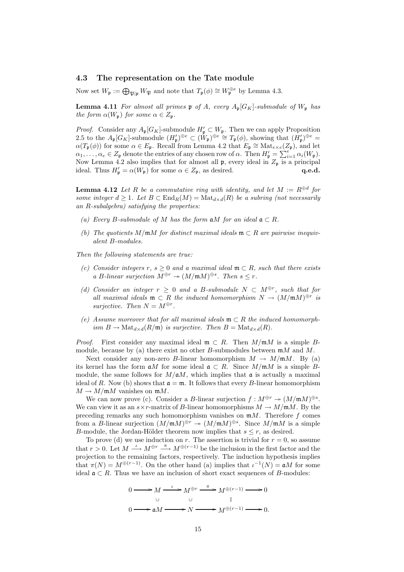### 4.3 The representation on the Tate module

Now set  $W_{\mathfrak{p}} := \bigoplus_{\mathfrak{P} | \mathfrak{p}} W_{\mathfrak{P}}$  and note that  $T_{\mathfrak{p}}(\phi) \cong W_{\mathfrak{p}}^{\oplus e}$  by Lemma 4.3.

**Lemma 4.11** For almost all primes  $\mathfrak{p}$  of A, every  $A_{\mathfrak{p}}[G_K]$ -submodule of  $W_{\mathfrak{p}}$  has the form  $\alpha(W_{\mathfrak{p}})$  for some  $\alpha \in Z_{\mathfrak{p}}$ .

*Proof.* Consider any  $A_{\mathfrak{p}}[G_K]$ -submodule  $H'_{\mathfrak{p}} \subset W_{\mathfrak{p}}$ . Then we can apply Proposition 2.5 to the  $A_{\mathfrak{p}}[G_K]$ -submodule  $(H'_{\mathfrak{p}})^{\oplus e} \subset (\tilde{W}_{\mathfrak{p}})^{\oplus e} \cong T_{\mathfrak{p}}(\phi)$ , showing that  $(H'_{\mathfrak{p}})^{\oplus e} =$  $\alpha(T_p(\phi))$  for some  $\alpha \in E_p$ . Recall from Lemma 4.2 that  $E_p \cong \text{Mat}_{e \times e}(Z_p)$ , and let  $\alpha_1, \ldots, \alpha_e \in Z_{\mathfrak{p}}$  denote the entries of any chosen row of  $\alpha$ . Then  $H'_{\mathfrak{p}} = \sum_{i=1}^e \alpha_i(W_{\mathfrak{p}})$ . Now Lemma 4.2 also implies that for almost all  $\mathfrak{p}$ , every ideal in  $Z_{\mathfrak{p}}$  is a principal ideal. Thus  $H'_{\mathfrak{p}} = \alpha(W_{\mathfrak{p}})$  for some  $\alpha \in Z_{\mathfrak{p}}$ , as desired.  $\mathbf{q.e.d.}$ 

**Lemma 4.12** Let R be a commutative ring with identity, and let  $M := R^{\oplus d}$  for some integer  $d \geq 1$ . Let  $B \subset \text{End}_R(M) = \text{Mat}_{d \times d}(R)$  be a subring (not necessarily an R-subalgebra) satisfying the properties:

- (a) Every B-submodule of M has the form  $\mathfrak{a}M$  for an ideal  $\mathfrak{a} \subset R$ .
- (b) The quotients M/mM for distinct maximal ideals  $\mathfrak{m} \subset R$  are pairwise inequivalent B-modules.

Then the following statements are true:

- (c) Consider integers r, s  $\geq 0$  and a maximal ideal  $\mathfrak{m} \subset R$ , such that there exists a B-linear surjection  $M^{\oplus r} \to (M/\mathfrak{m}M)^{\oplus s}$ . Then  $s \leq r$ .
- (d) Consider an integer  $r \geq 0$  and a B-submodule  $N \subset M^{\oplus r}$ , such that for all maximal ideals  $\mathfrak{m} \subset R$  the induced homomorphism  $N \to (M/\mathfrak{m} M)^{\oplus r}$  is surjective. Then  $N = M^{\oplus r}$ .
- (e) Assume moreover that for all maximal ideals  $\mathfrak{m} \subset R$  the induced homomorphism  $B \to \text{Mat}_{d \times d}(R/\mathfrak{m})$  is surjective. Then  $B = \text{Mat}_{d \times d}(R)$ .

*Proof.* First consider any maximal ideal  $\mathfrak{m} \subset R$ . Then  $M/\mathfrak{m}M$  is a simple Bmodule, because by (a) there exist no other B-submodules between  $mM$  and M.

Next consider any non-zero B-linear homomorphism  $M \to M/\mathfrak{m}M$ . By (a) its kernel has the form  $\mathfrak{a}M$  for some ideal  $\mathfrak{a} \subset R$ . Since  $M/\mathfrak{m}M$  is a simple Bmodule, the same follows for  $M/\mathfrak{a}M$ , which implies that  $\mathfrak a$  is actually a maximal ideal of R. Now (b) shows that  $\mathfrak{a} = \mathfrak{m}$ . It follows that every B-linear homomorphism  $M \to M/\mathfrak{m}M$  vanishes on  $\mathfrak{m}M$ .

We can now prove (c). Consider a B-linear surjection  $f : M^{\oplus r} \to (M/\mathfrak{m}M)^{\oplus s}$ . We can view it as an  $s \times r$ -matrix of B-linear homomorphisms  $M \to M/\mathfrak{m}M$ . By the preceding remarks any such homomorphism vanishes on  $mM$ . Therefore f comes from a B-linear surjection  $(M/\mathfrak{m}M)^{\oplus r} \to (M/\mathfrak{m}M)^{\oplus s}$ . Since  $M/\mathfrak{m}M$  is a simple B-module, the Jordan-Hölder theorem now implies that  $s \leq r$ , as desired.

To prove (d) we use induction on r. The assertion is trivial for  $r = 0$ , so assume that  $r > 0$ . Let  $M \xrightarrow{\iota} M^{\oplus r} \xrightarrow{\pi} M^{\oplus (r-1)}$  be the inclusion in the first factor and the projection to the remaining factors, respectively. The induction hypothesis implies that  $\pi(N) = M^{\oplus (r-1)}$ . On the other hand (a) implies that  $\iota^{-1}(N) = \mathfrak{a}M$  for some ideal  $\mathfrak{a} \subset R$ . Thus we have an inclusion of short exact sequences of B-modules:

$$
0 \longrightarrow M \xrightarrow{\iota} M^{\oplus r} \xrightarrow{\pi} M^{\oplus (r-1)} \longrightarrow 0
$$
  

$$
0 \longrightarrow \mathfrak{a}M \longrightarrow N \longrightarrow M^{\oplus (r-1)} \longrightarrow 0.
$$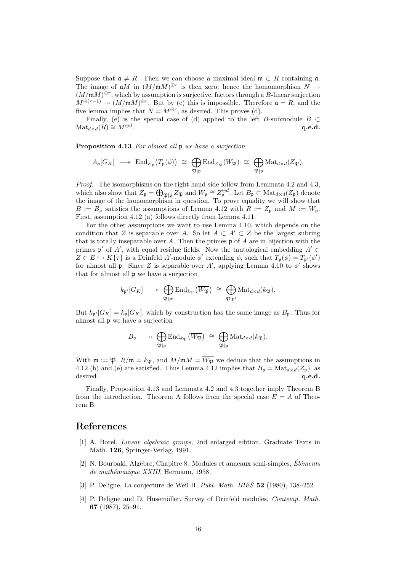Suppose that  $a \neq R$ . Then we can choose a maximal ideal  $\mathfrak{m} \subset R$  containing  $\mathfrak{a}$ . The image of  $\mathfrak{a}M$  in  $(M/\mathfrak{m}M)^{\oplus r}$  is then zero; hence the homomorphism  $N \to$  $(M/\mathfrak{m} M)^{\oplus r}$ , which by assumption is surjective, factors through a B-linear surjection  $M^{\oplus (r-1)} \twoheadrightarrow (M/\mathfrak{m}M)^{\oplus r}$ . But by (c) this is impossible. Therefore  $\mathfrak{a} = R$ , and the five lemma implies that  $N = M^{\oplus r}$ , as desired. This proves (d).

Finally, (e) is the special case of (d) applied to the left B-submodule  $B \subset$  $\text{Mat}_{d\times d}(R) \cong M^{\oplus d}$ . . The contraction of the contraction of  $\mathbf{q}.\mathbf{e}.\mathbf{d}.\mathbf{q}$ 

Proposition 4.13 For almost all p we have a surjection

$$
A_{\mathfrak{p}}[G_K] \longrightarrow {\mathrm{End}}_{E_{\mathfrak{p}}}\big(T_{\mathfrak{p}}(\phi)\big) \cong \bigoplus_{\mathfrak{P}|\mathfrak{p}} {\mathrm{End}}_{Z_{\mathfrak{P}}}(W_{\mathfrak{P}}) \cong \bigoplus_{\mathfrak{P}|\mathfrak{p}} {\mathrm{Mat}}_{d \times d}(Z_{\mathfrak{P}}).
$$

Proof. The isomorphisms on the right hand side follow from Lemmata 4.2 and 4.3, which also show that  $Z_{\mathfrak{p}} = \bigoplus_{\mathfrak{P} | \mathfrak{p}} Z_{\mathfrak{P}}$  and  $W_{\mathfrak{p}} \cong Z_{\mathfrak{p}}^{\oplus d}$ . Let  $B_{\mathfrak{p}} \subset \text{Mat}_{d \times d}(Z_{\mathfrak{p}})$  denote the image of the homomorphism in question. To prove equality we will show that  $B := B_{\mathfrak{p}}$  satisfies the assumptions of Lemma 4.12 with  $R := Z_{\mathfrak{p}}$  and  $M := W_{\mathfrak{p}}$ . First, assumption 4.12 (a) follows directly from Lemma 4.11.

For the other assumptions we want to use Lemma 4.10, which depends on the condition that Z is separable over A. So let  $A \subset A' \subset Z$  be the largest subring that is totally inseparable over A. Then the primes  $\mathfrak p$  of A are in bijection with the primes  $\mathfrak{p}'$  of A', with equal residue fields. Now the tautological embedding A' ⊂  $Z \subset E \hookrightarrow K{\tau}$  is a Drinfeld A'-module  $\phi'$  extending  $\phi$ , such that  $T_{\mathfrak{p}}(\phi) = T_{\mathfrak{p}'}(\phi')$ for almost all  $\mathfrak p$ . Since Z is separable over A', applying Lemma 4.10 to  $\phi'$  shows that for almost all p we have a surjection

$$
k_{\mathfrak{p}'}[G_K] \longrightarrow \bigoplus_{\mathfrak{P}|\mathfrak{p}'}
$$
 End <sub>$k_{\mathfrak{P}}(\overline{W_{\mathfrak{P}}}) \cong \bigoplus_{\mathfrak{P}|\mathfrak{p}'} \text{Mat}_{d \times d}(k_{\mathfrak{P}}).$</sub> 

But  $k_{\mathbf{p}'}[G_K] = k_{\mathbf{p}}[G_K]$ , which by construction has the same image as  $B_{\mathbf{p}}$ . Thus for almost all p we have a surjection

$$
B_{\mathfrak{p}}\ \longrightarrow\ \bigoplus_{\mathfrak{P}\mid \mathfrak{p}}\mathrm{End}_{k_{\mathfrak{P}}}(\overline{W_{\mathfrak{P}}})\ \cong\ \bigoplus_{\mathfrak{P}\mid \mathfrak{p}}\mathrm{Mat}_{d\times d}(k_{\mathfrak{P}}).
$$

With  $\mathfrak{m} := \mathfrak{P}, R/\mathfrak{m} = k_{\mathfrak{P}}, \text{ and } M/\mathfrak{m} = \overline{W_{\mathfrak{P}}}$  we deduce that the assumptions in 4.12 (b) and (e) are satisfied. Thus Lemma 4.12 implies that  $B_p = \text{Mat}_{d \times d}(Z_p)$ , as desired.  $q.e.d.$ 

Finally, Proposition 4.13 and Lemmata 4.2 and 4.3 together imply Theorem B from the introduction. Theorem A follows from the special case  $E = A$  of Theorem B.

# References

- [1] A. Borel, Linear algebraic groups, 2nd enlarged edition, Graduate Texts in Math. 126, Springer-Verlag, 1991.
- [2] N. Bourbaki, Algèbre, Chapitre 8: Modules et anneaux semi-simples,  $Éléments$ de mathématique XXIII, Hermann, 1958.
- [3] P. Deligne, La conjecture de Weil II, Publ. Math. IHES 52 (1980), 138–252.
- [4] P. Deligne and D. Husemöller, Survey of Drinfeld modules, *Contemp. Math.* 67 (1987), 25–91.